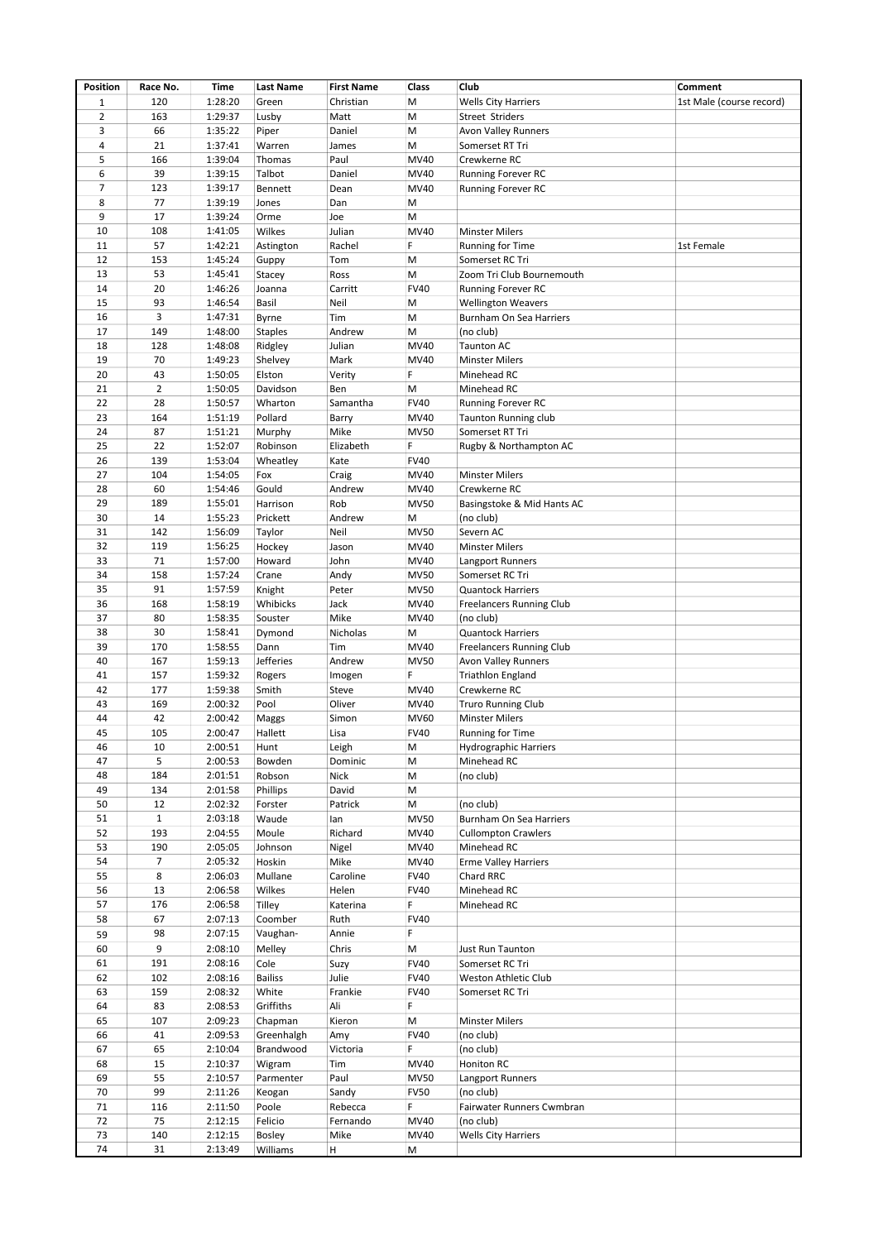| Position       | Race No.       | Time    | <b>Last Name</b> | <b>First Name</b> | Class       | Club                            | Comment                  |
|----------------|----------------|---------|------------------|-------------------|-------------|---------------------------------|--------------------------|
| $1\,$          | 120            | 1:28:20 | Green            | Christian         | M           | <b>Wells City Harriers</b>      | 1st Male (course record) |
| $\overline{2}$ | 163            | 1:29:37 | Lusby            | Matt              | M           | Street Striders                 |                          |
| 3              | 66             | 1:35:22 | Piper            | Daniel            | М           | <b>Avon Valley Runners</b>      |                          |
| 4              | 21             | 1:37:41 | Warren           | James             | M           | Somerset RT Tri                 |                          |
| 5              | 166            | 1:39:04 | Thomas           | Paul              | MV40        | Crewkerne RC                    |                          |
| 6              | 39             | 1:39:15 | Talbot           | Daniel            | MV40        | Running Forever RC              |                          |
| $\overline{7}$ | 123            | 1:39:17 | Bennett          | Dean              | MV40        | Running Forever RC              |                          |
| 8              | 77             | 1:39:19 | Jones            | Dan               | М           |                                 |                          |
| 9              | 17             | 1:39:24 | Orme             | Joe               | M           |                                 |                          |
| 10             | 108            | 1:41:05 | Wilkes           | Julian            | MV40        | <b>Minster Milers</b>           |                          |
| 11             | 57             | 1:42:21 | Astington        | Rachel            | F           | <b>Running for Time</b>         | 1st Female               |
| 12             | 153            | 1:45:24 | Guppy            | Tom               | M           | Somerset RC Tri                 |                          |
| 13             | 53             | 1:45:41 |                  | Ross              | M           | Zoom Tri Club Bournemouth       |                          |
| 14             |                |         | Stacey           |                   |             |                                 |                          |
| 15             | 20<br>93       | 1:46:26 | Joanna           | Carritt           | <b>FV40</b> | Running Forever RC              |                          |
|                |                | 1:46:54 | Basil            | Neil              | M           | <b>Wellington Weavers</b>       |                          |
| 16             | 3              | 1:47:31 | Byrne            | Tim               | M           | Burnham On Sea Harriers         |                          |
| 17             | 149            | 1:48:00 | <b>Staples</b>   | Andrew            | M           | (no club)                       |                          |
| 18             | 128            | 1:48:08 | Ridgley          | Julian            | MV40        | <b>Taunton AC</b>               |                          |
| 19             | 70             | 1:49:23 | Shelvey          | Mark              | MV40        | <b>Minster Milers</b>           |                          |
| 20             | 43             | 1:50:05 | Elston           | Verity            | F           | Minehead RC                     |                          |
| 21             | $\overline{2}$ | 1:50:05 | Davidson         | Ben               | М           | Minehead RC                     |                          |
| 22             | 28             | 1:50:57 | Wharton          | Samantha          | <b>FV40</b> | Running Forever RC              |                          |
| 23             | 164            | 1:51:19 | Pollard          | Barry             | MV40        | <b>Taunton Running club</b>     |                          |
| 24             | 87             | 1:51:21 | Murphy           | Mike              | <b>MV50</b> | Somerset RT Tri                 |                          |
| 25             | 22             | 1:52:07 | Robinson         | Elizabeth         | F           | Rugby & Northampton AC          |                          |
| 26             | 139            | 1:53:04 | Wheatley         | Kate              | <b>FV40</b> |                                 |                          |
| 27             | 104            | 1:54:05 | Fox              | Craig             | MV40        | <b>Minster Milers</b>           |                          |
| 28             | 60             | 1:54:46 | Gould            | Andrew            | MV40        | Crewkerne RC                    |                          |
| 29             | 189            | 1:55:01 | Harrison         | Rob               | <b>MV50</b> | Basingstoke & Mid Hants AC      |                          |
| 30             | 14             | 1:55:23 | Prickett         | Andrew            | M           | (no club)                       |                          |
| 31             | 142            | 1:56:09 | Taylor           | Neil              | <b>MV50</b> | Severn AC                       |                          |
| 32             | 119            | 1:56:25 | Hockey           | Jason             | MV40        | <b>Minster Milers</b>           |                          |
| 33             | 71             | 1:57:00 | Howard           | John              | MV40        | Langport Runners                |                          |
| 34             | 158            | 1:57:24 | Crane            | Andy              | <b>MV50</b> | Somerset RC Tri                 |                          |
| 35             | 91             | 1:57:59 | Knight           | Peter             | <b>MV50</b> | <b>Quantock Harriers</b>        |                          |
| 36             | 168            | 1:58:19 | Whibicks         | Jack              | MV40        | <b>Freelancers Running Club</b> |                          |
| 37             | 80             | 1:58:35 | Souster          | Mike              | MV40        | (no club)                       |                          |
| 38             | 30             | 1:58:41 | Dymond           | Nicholas          | М           | <b>Quantock Harriers</b>        |                          |
| 39             | 170            | 1:58:55 | Dann             | Tim               | MV40        | <b>Freelancers Running Club</b> |                          |
| 40             | 167            | 1:59:13 | Jefferies        | Andrew            | <b>MV50</b> | <b>Avon Valley Runners</b>      |                          |
|                |                |         |                  |                   | F           |                                 |                          |
| 41             | 157            | 1:59:32 | Rogers           | Imogen            |             | <b>Triathlon England</b>        |                          |
| 42             | 177            | 1:59:38 | Smith            | Steve             | MV40        | Crewkerne RC                    |                          |
| 43             | 169            | 2:00:32 | Pool             | Oliver            | MV40        | <b>Truro Running Club</b>       |                          |
| 44             | 42             | 2:00:42 | Maggs            | Simon             | MV60        | <b>Minster Milers</b>           |                          |
| 45             | 105            | 2:00:47 | Hallett          | Lisa              | <b>FV40</b> | <b>Running for Time</b>         |                          |
| 46             | 10             | 2:00:51 | Hunt             | Leigh             | М           | <b>Hydrographic Harriers</b>    |                          |
| 47             | 5              | 2:00:53 | Bowden           | Dominic           | М           | Minehead RC                     |                          |
| 48             | 184            | 2:01:51 | Robson           | Nick              | М           | (no club)                       |                          |
| 49             | 134            | 2:01:58 | Phillips         | David             | M           |                                 |                          |
| 50             | 12             | 2:02:32 | Forster          | Patrick           | M           | (no club)                       |                          |
| 51             | $\mathbf{1}$   | 2:03:18 | Waude            | lan               | <b>MV50</b> | Burnham On Sea Harriers         |                          |
| 52             | 193            | 2:04:55 | Moule            | Richard           | MV40        | <b>Cullompton Crawlers</b>      |                          |
| 53             | 190            | 2:05:05 | Johnson          | Nigel             | MV40        | Minehead RC                     |                          |
| 54             | $\overline{7}$ | 2:05:32 | Hoskin           | Mike              | MV40        | <b>Erme Valley Harriers</b>     |                          |
| 55             | 8              | 2:06:03 | Mullane          | Caroline          | <b>FV40</b> | Chard RRC                       |                          |
| 56             | 13             | 2:06:58 | Wilkes           | Helen             | <b>FV40</b> | Minehead RC                     |                          |
| 57             | 176            | 2:06:58 | Tilley           | Katerina          | F           | Minehead RC                     |                          |
| 58             | 67             | 2:07:13 | Coomber          | Ruth              | <b>FV40</b> |                                 |                          |
| 59             | 98             | 2:07:15 | Vaughan-         | Annie             | F           |                                 |                          |
| 60             | 9              | 2:08:10 | Melley           | Chris             | M           | Just Run Taunton                |                          |
| 61             | 191            | 2:08:16 | Cole             | Suzy              | <b>FV40</b> | Somerset RC Tri                 |                          |
| 62             | 102            | 2:08:16 | <b>Bailiss</b>   | Julie             | <b>FV40</b> | Weston Athletic Club            |                          |
| 63             | 159            | 2:08:32 | White            | Frankie           | <b>FV40</b> | Somerset RC Tri                 |                          |
| 64             | 83             | 2:08:53 | Griffiths        | Ali               | F           |                                 |                          |
| 65             | 107            |         |                  |                   | M           | <b>Minster Milers</b>           |                          |
|                |                | 2:09:23 | Chapman          | Kieron            |             |                                 |                          |
| 66             | 41             | 2:09:53 | Greenhalgh       | Amy               | <b>FV40</b> | (no club)                       |                          |
| 67             | 65             | 2:10:04 | Brandwood        | Victoria          | F           | (no club)                       |                          |
| 68             | 15             | 2:10:37 | Wigram           | Tim               | MV40        | Honiton RC                      |                          |
| 69             | 55             | 2:10:57 | Parmenter        | Paul              | <b>MV50</b> | Langport Runners                |                          |
| 70             | 99             | 2:11:26 | Keogan           | Sandy             | <b>FV50</b> | (no club)                       |                          |
| 71             | 116            | 2:11:50 | Poole            | Rebecca           | F           | Fairwater Runners Cwmbran       |                          |
| 72             | 75             | 2:12:15 | Felicio          | Fernando          | MV40        | (no club)                       |                          |
| 73             | 140            | 2:12:15 | Bosley           | Mike              | MV40        | <b>Wells City Harriers</b>      |                          |
| 74             | 31             | 2:13:49 | Williams         | H                 | M           |                                 |                          |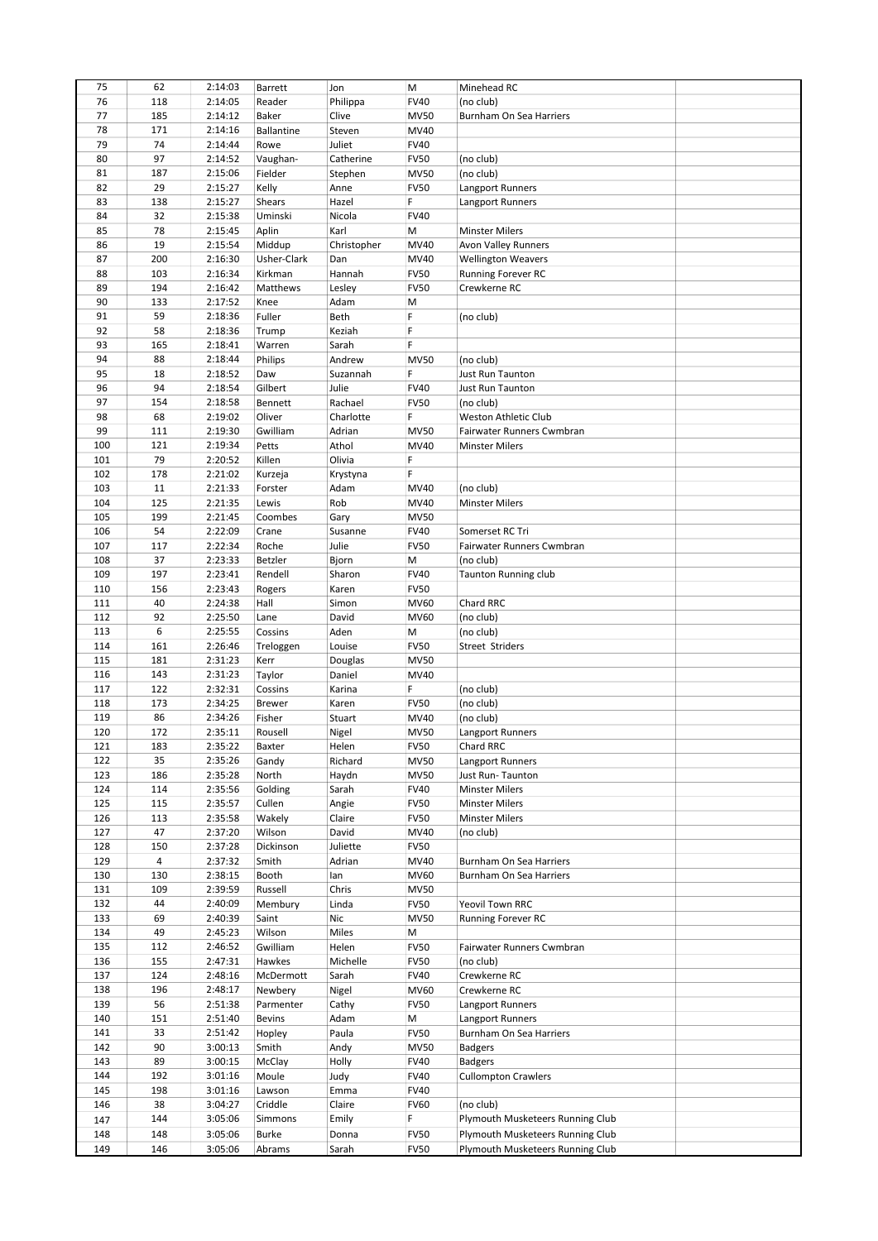| 75  | 62  | 2:14:03 | Barrett           | Jon         | M           | Minehead RC                      |  |
|-----|-----|---------|-------------------|-------------|-------------|----------------------------------|--|
| 76  | 118 | 2:14:05 | Reader            | Philippa    | <b>FV40</b> | (no club)                        |  |
|     |     |         |                   |             |             |                                  |  |
| 77  | 185 | 2:14:12 | Baker             | Clive       | <b>MV50</b> | Burnham On Sea Harriers          |  |
| 78  | 171 | 2:14:16 | <b>Ballantine</b> | Steven      | MV40        |                                  |  |
| 79  | 74  | 2:14:44 | Rowe              | Juliet      | <b>FV40</b> |                                  |  |
| 80  | 97  | 2:14:52 | Vaughan-          | Catherine   | <b>FV50</b> | (no club)                        |  |
| 81  | 187 | 2:15:06 | Fielder           | Stephen     | <b>MV50</b> | (no club)                        |  |
| 82  | 29  | 2:15:27 | Kelly             | Anne        | <b>FV50</b> | Langport Runners                 |  |
| 83  | 138 |         |                   | Hazel       | F           |                                  |  |
|     |     | 2:15:27 | Shears            |             |             | Langport Runners                 |  |
| 84  | 32  | 2:15:38 | Uminski           | Nicola      | <b>FV40</b> |                                  |  |
| 85  | 78  | 2:15:45 | Aplin             | Karl        | М           | <b>Minster Milers</b>            |  |
| 86  | 19  | 2:15:54 | Middup            | Christopher | MV40        | <b>Avon Valley Runners</b>       |  |
| 87  | 200 | 2:16:30 | Usher-Clark       | Dan         | MV40        | <b>Wellington Weavers</b>        |  |
| 88  | 103 | 2:16:34 | Kirkman           | Hannah      | <b>FV50</b> | <b>Running Forever RC</b>        |  |
| 89  | 194 | 2:16:42 | Matthews          | Lesley      | <b>FV50</b> | Crewkerne RC                     |  |
| 90  | 133 | 2:17:52 | Knee              | Adam        | М           |                                  |  |
|     |     |         |                   |             |             |                                  |  |
| 91  | 59  | 2:18:36 | Fuller            | Beth        | F           | (no club)                        |  |
| 92  | 58  | 2:18:36 | Trump             | Keziah      | F.          |                                  |  |
| 93  | 165 | 2:18:41 | Warren            | Sarah       | F           |                                  |  |
| 94  | 88  | 2:18:44 | Philips           | Andrew      | <b>MV50</b> | (no club)                        |  |
| 95  | 18  | 2:18:52 | Daw               | Suzannah    | F           | Just Run Taunton                 |  |
| 96  | 94  | 2:18:54 | Gilbert           | Julie       | <b>FV40</b> | Just Run Taunton                 |  |
| 97  | 154 | 2:18:58 | Bennett           | Rachael     | <b>FV50</b> | (no club)                        |  |
|     |     |         |                   |             | F           |                                  |  |
| 98  | 68  | 2:19:02 | Oliver            | Charlotte   |             | Weston Athletic Club             |  |
| 99  | 111 | 2:19:30 | Gwilliam          | Adrian      | <b>MV50</b> | Fairwater Runners Cwmbran        |  |
| 100 | 121 | 2:19:34 | Petts             | Athol       | MV40        | <b>Minster Milers</b>            |  |
| 101 | 79  | 2:20:52 | Killen            | Olivia      | F           |                                  |  |
| 102 | 178 | 2:21:02 | Kurzeja           | Krystyna    | F           |                                  |  |
| 103 | 11  | 2:21:33 | Forster           | Adam        | MV40        | (no club)                        |  |
| 104 | 125 | 2:21:35 | Lewis             | Rob         | MV40        | <b>Minster Milers</b>            |  |
| 105 | 199 |         |                   |             |             |                                  |  |
|     |     | 2:21:45 | Coombes           | Gary        | <b>MV50</b> |                                  |  |
| 106 | 54  | 2:22:09 | Crane             | Susanne     | <b>FV40</b> | Somerset RC Tri                  |  |
| 107 | 117 | 2:22:34 | Roche             | Julie       | <b>FV50</b> | Fairwater Runners Cwmbran        |  |
| 108 | 37  | 2:23:33 | <b>Betzler</b>    | Bjorn       | M           | (no club)                        |  |
| 109 | 197 | 2:23:41 | Rendell           | Sharon      | <b>FV40</b> | <b>Taunton Running club</b>      |  |
| 110 | 156 | 2:23:43 | Rogers            | Karen       | <b>FV50</b> |                                  |  |
| 111 | 40  | 2:24:38 | Hall              | Simon       | MV60        | Chard RRC                        |  |
| 112 | 92  | 2:25:50 | Lane              | David       | MV60        | (no club)                        |  |
|     | 6   |         |                   | Aden        |             |                                  |  |
| 113 |     | 2:25:55 | Cossins           |             | М           | (no club)                        |  |
| 114 | 161 | 2:26:46 | Treloggen         | Louise      | <b>FV50</b> | Street Striders                  |  |
| 115 | 181 | 2:31:23 | Kerr              | Douglas     | <b>MV50</b> |                                  |  |
| 116 | 143 | 2:31:23 | Taylor            | Daniel      | MV40        |                                  |  |
| 117 | 122 | 2:32:31 | Cossins           | Karina      | F           | (no club)                        |  |
| 118 | 173 | 2:34:25 | <b>Brewer</b>     | Karen       | <b>FV50</b> | (no club)                        |  |
| 119 | 86  | 2:34:26 | Fisher            | Stuart      | MV40        | (no club)                        |  |
| 120 | 172 | 2:35:11 | Rousell           |             | <b>MV50</b> |                                  |  |
|     |     |         |                   | Nigel       |             | <b>Langport Runners</b>          |  |
| 121 | 183 | 2:35:22 | Baxter            | Helen       | <b>FV50</b> | Chard RRC                        |  |
| 122 | 35  | 2:35:26 | Gandy             | Richard     | <b>MV50</b> | Langport Runners                 |  |
| 123 | 186 | 2:35:28 | North             | Haydn       | <b>MV50</b> | Just Run-Taunton                 |  |
| 124 | 114 | 2:35:56 | Golding           | Sarah       | <b>FV40</b> | <b>Minster Milers</b>            |  |
| 125 | 115 | 2:35:57 | Cullen            | Angie       | <b>FV50</b> | <b>Minster Milers</b>            |  |
| 126 | 113 | 2:35:58 | Wakely            | Claire      | <b>FV50</b> | <b>Minster Milers</b>            |  |
| 127 | 47  | 2:37:20 | Wilson            | David       | MV40        | (no club)                        |  |
|     |     |         |                   |             |             |                                  |  |
| 128 | 150 | 2:37:28 | Dickinson         | Juliette    | <b>FV50</b> |                                  |  |
| 129 | 4   | 2:37:32 | Smith             | Adrian      | MV40        | Burnham On Sea Harriers          |  |
| 130 | 130 | 2:38:15 | Booth             | lan         | MV60        | Burnham On Sea Harriers          |  |
| 131 | 109 | 2:39:59 | Russell           | Chris       | <b>MV50</b> |                                  |  |
| 132 | 44  | 2:40:09 | Membury           | Linda       | <b>FV50</b> | Yeovil Town RRC                  |  |
| 133 | 69  | 2:40:39 | Saint             | Nic         | <b>MV50</b> | Running Forever RC               |  |
| 134 | 49  | 2:45:23 | Wilson            | Miles       | M           |                                  |  |
| 135 | 112 | 2:46:52 | Gwilliam          | Helen       | <b>FV50</b> | Fairwater Runners Cwmbran        |  |
|     |     |         |                   |             |             |                                  |  |
| 136 | 155 | 2:47:31 | Hawkes            | Michelle    | <b>FV50</b> | (no club)                        |  |
| 137 | 124 | 2:48:16 | McDermott         | Sarah       | <b>FV40</b> | Crewkerne RC                     |  |
| 138 | 196 | 2:48:17 | Newbery           | Nigel       | MV60        | Crewkerne RC                     |  |
| 139 | 56  | 2:51:38 | Parmenter         | Cathy       | <b>FV50</b> | Langport Runners                 |  |
| 140 | 151 | 2:51:40 | <b>Bevins</b>     | Adam        | M           | Langport Runners                 |  |
| 141 | 33  | 2:51:42 | Hopley            | Paula       | <b>FV50</b> | Burnham On Sea Harriers          |  |
| 142 | 90  | 3:00:13 | Smith             | Andy        | <b>MV50</b> | <b>Badgers</b>                   |  |
| 143 | 89  | 3:00:15 | McClay            | Holly       | <b>FV40</b> | <b>Badgers</b>                   |  |
|     |     |         |                   |             |             |                                  |  |
| 144 | 192 | 3:01:16 | Moule             | Judy        | <b>FV40</b> | <b>Cullompton Crawlers</b>       |  |
| 145 | 198 | 3:01:16 | Lawson            | Emma        | <b>FV40</b> |                                  |  |
| 146 | 38  | 3:04:27 | Criddle           | Claire      | <b>FV60</b> | (no club)                        |  |
| 147 | 144 | 3:05:06 | Simmons           | Emily       | F           | Plymouth Musketeers Running Club |  |
| 148 | 148 | 3:05:06 | <b>Burke</b>      | Donna       | <b>FV50</b> | Plymouth Musketeers Running Club |  |
| 149 | 146 | 3:05:06 | Abrams            | Sarah       | <b>FV50</b> | Plymouth Musketeers Running Club |  |
|     |     |         |                   |             |             |                                  |  |